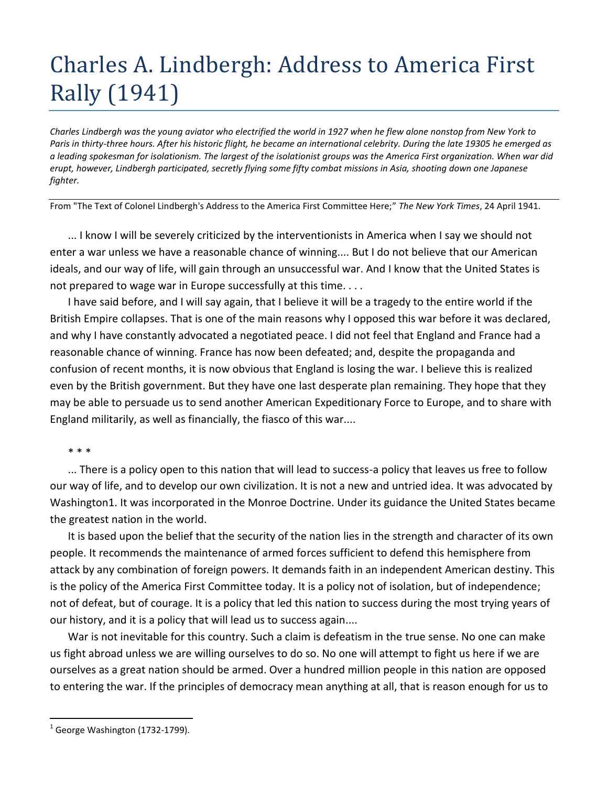## Charles A. Lindbergh: Address to America First Rally (1941)

*Charles Lindbergh was the young aviator who electrified the world in 1927 when he flew alone nonstop from New York to Paris in thirty-three hours. After his historic flight, he became an international celebrity. During the late 19305 he emerged as a leading spokesman for isolationism. The largest of the isolationist groups was the America First organization. When war did erupt, however, Lindbergh participated, secretly flying some fifty combat missions in Asia, shooting down one Japanese fighter.* 

From "The Text of Colonel Lindbergh's Address to the America First Committee Here;" *The New York Times*, 24 April 1941.

... I know I will be severely criticized by the interventionists in America when I say we should not enter a war unless we have a reasonable chance of winning.... But I do not believe that our American ideals, and our way of life, will gain through an unsuccessful war. And I know that the United States is not prepared to wage war in Europe successfully at this time. . . .

I have said before, and I will say again, that I believe it will be a tragedy to the entire world if the British Empire collapses. That is one of the main reasons why I opposed this war before it was declared, and why I have constantly advocated a negotiated peace. I did not feel that England and France had a reasonable chance of winning. France has now been defeated; and, despite the propaganda and confusion of recent months, it is now obvious that England is losing the war. I believe this is realized even by the British government. But they have one last desperate plan remaining. They hope that they may be able to persuade us to send another American Expeditionary Force to Europe, and to share with England militarily, as well as financially, the fiasco of this war....

\* \* \*

... There is a policy open to this nation that will lead to success-a policy that leaves us free to follow our way of life, and to develop our own civilization. It is not a new and untried idea. It was advocated by Washington1. It was incorporated in the Monroe Doctrine. Under its guidance the United States became the greatest nation in the world.

It is based upon the belief that the security of the nation lies in the strength and character of its own people. It recommends the maintenance of armed forces sufficient to defend this hemisphere from attack by any combination of foreign powers. It demands faith in an independent American destiny. This is the policy of the America First Committee today. It is a policy not of isolation, but of independence; not of defeat, but of courage. It is a policy that led this nation to success during the most trying years of our history, and it is a policy that will lead us to success again....

War is not inevitable for this country. Such a claim is defeatism in the true sense. No one can make us fight abroad unless we are willing ourselves to do so. No one will attempt to fight us here if we are ourselves as a great nation should be armed. Over a hundred million people in this nation are opposed to entering the war. If the principles of democracy mean anything at all, that is reason enough for us to

 $\overline{a}$ 

 $<sup>1</sup>$  George Washington (1732-1799).</sup>